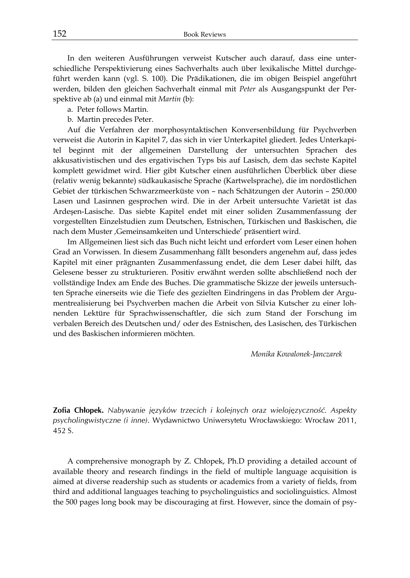**Zofia Chłopek.** *Nabywanie języków trzecich i kolejnych oraz wielojęzyczność. Aspekty psycholingwistyczne (i inne)*. Wydawnictwo Uniwersytetu Wrocławskiego: Wrocław 2011, 452 S.

A comprehensive monograph by Z. Chłopek, Ph.D providing a detailed account of available theory and research findings in the field of multiple language acquisition is aimed at diverse readership such as students or academics from a variety of fields, from third and additional languages teaching to psycholinguistics and sociolinguistics. Almost the 500 pages long book may be discouraging at first. However, since the domain of psy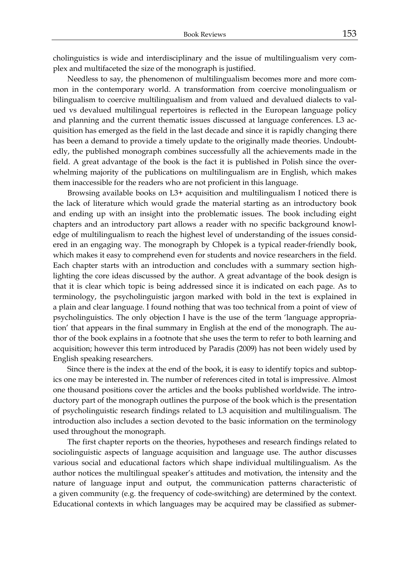cholinguistics is wide and interdisciplinary and the issue of multilingualism very complex and multifaceted the size of the monograph is justified.

Needless to say, the phenomenon of multilingualism becomes more and more common in the contemporary world. A transformation from coercive monolingualism or bilingualism to coercive multilingualism and from valued and devalued dialects to valued vs devalued multilingual repertoires is reflected in the European language policy and planning and the current thematic issues discussed at language conferences. L3 acquisition has emerged as the field in the last decade and since it is rapidly changing there has been a demand to provide a timely update to the originally made theories. Undoubtedly, the published monograph combines successfully all the achievements made in the field. A great advantage of the book is the fact it is published in Polish since the overwhelming majority of the publications on multilingualism are in English, which makes them inaccessible for the readers who are not proficient in this language.

Browsing available books on L3+ acquisition and multilingualism I noticed there is the lack of literature which would grade the material starting as an introductory book and ending up with an insight into the problematic issues. The book including eight chapters and an introductory part allows a reader with no specific background knowledge of multilingualism to reach the highest level of understanding of the issues considered in an engaging way. The monograph by Chłopek is a typical reader-friendly book, which makes it easy to comprehend even for students and novice researchers in the field. Each chapter starts with an introduction and concludes with a summary section highlighting the core ideas discussed by the author. A great advantage of the book design is that it is clear which topic is being addressed since it is indicated on each page. As to terminology, the psycholinguistic jargon marked with bold in the text is explained in a plain and clear language. I found nothing that was too technical from a point of view of psycholinguistics. The only objection I have is the use of the term 'language appropriation' that appears in the final summary in English at the end of the monograph. The author of the book explains in a footnote that she uses the term to refer to both learning and acquisition; however this term introduced by Paradis (2009) has not been widely used by English speaking researchers.

Since there is the index at the end of the book, it is easy to identify topics and subtopics one may be interested in. The number of references cited in total is impressive. Almost one thousand positions cover the articles and the books published worldwide. The introductory part of the monograph outlines the purpose of the book which is the presentation of psycholinguistic research findings related to L3 acquisition and multilingualism. The introduction also includes a section devoted to the basic information on the terminology used throughout the monograph.

The first chapter reports on the theories, hypotheses and research findings related to sociolinguistic aspects of language acquisition and language use. The author discusses various social and educational factors which shape individual multilingualism. As the author notices the multilingual speaker's attitudes and motivation, the intensity and the nature of language input and output, the communication patterns characteristic of a given community (e.g. the frequency of code-switching) are determined by the context. Educational contexts in which languages may be acquired may be classified as submer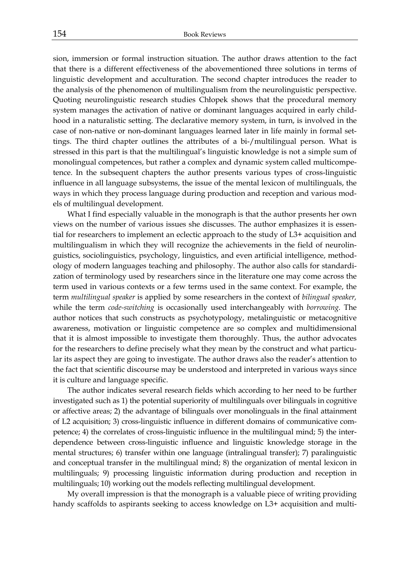sion, immersion or formal instruction situation. The author draws attention to the fact that there is a different effectiveness of the abovementioned three solutions in terms of linguistic development and acculturation. The second chapter introduces the reader to the analysis of the phenomenon of multilingualism from the neurolinguistic perspective. Quoting neurolinguistic research studies Chłopek shows that the procedural memory system manages the activation of native or dominant languages acquired in early childhood in a naturalistic setting. The declarative memory system, in turn, is involved in the case of non-native or non-dominant languages learned later in life mainly in formal settings. The third chapter outlines the attributes of a bi-/multilingual person. What is stressed in this part is that the multilingual's linguistic knowledge is not a simple sum of monolingual competences, but rather a complex and dynamic system called multicompetence. In the subsequent chapters the author presents various types of cross-linguistic influence in all language subsystems, the issue of the mental lexicon of multilinguals, the ways in which they process language during production and reception and various models of multilingual development.

What I find especially valuable in the monograph is that the author presents her own views on the number of various issues she discusses. The author emphasizes it is essential for researchers to implement an eclectic approach to the study of L3+ acquisition and multilingualism in which they will recognize the achievements in the field of neurolinguistics, sociolinguistics, psychology, linguistics, and even artificial intelligence, methodology of modern languages teaching and philosophy. The author also calls for standardization of terminology used by researchers since in the literature one may come across the term used in various contexts or a few terms used in the same context. For example, the term *multilingual speaker* is applied by some researchers in the context of *bilingual speaker,*  while the term *code-switching* is occasionally used interchangeably with *borrowing.* The author notices that such constructs as psychotypology, metalinguistic or metacognitive awareness, motivation or linguistic competence are so complex and multidimensional that it is almost impossible to investigate them thoroughly. Thus, the author advocates for the researchers to define precisely what they mean by the construct and what particular its aspect they are going to investigate. The author draws also the reader's attention to the fact that scientific discourse may be understood and interpreted in various ways since it is culture and language specific.

The author indicates several research fields which according to her need to be further investigated such as 1) the potential superiority of multilinguals over bilinguals in cognitive or affective areas; 2) the advantage of bilinguals over monolinguals in the final attainment of L2 acquisition; 3) cross-linguistic influence in different domains of communicative competence; 4) the correlates of cross-linguistic influence in the multilingual mind; 5) the interdependence between cross-linguistic influence and linguistic knowledge storage in the mental structures; 6) transfer within one language (intralingual transfer); 7) paralinguistic and conceptual transfer in the multilingual mind; 8) the organization of mental lexicon in multilinguals; 9) processing linguistic information during production and reception in multilinguals; 10) working out the models reflecting multilingual development.

My overall impression is that the monograph is a valuable piece of writing providing handy scaffolds to aspirants seeking to access knowledge on L3+ acquisition and multi-